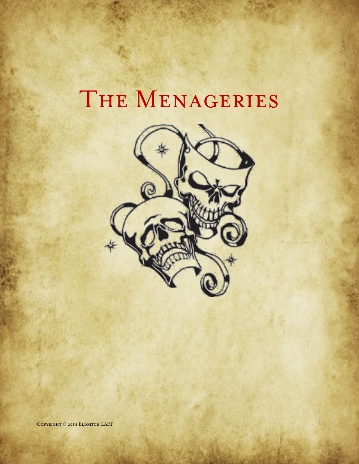# THE MENAGERIES

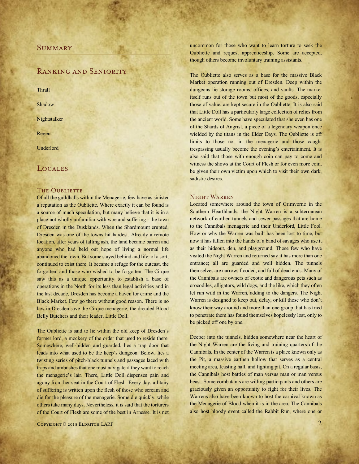# **SUMMARY**

# Ranking and Seniority

**Thrall** 

Shadow

**Nightstalker** 

Regent

Underlord

# **LOCALES**

# THE OUBLIETTE

Of all the guildhalls within the Menagerie, few have as sinister a reputation as the Oubliette. Where exactly it can be found is a source of much speculation, but many believe that it is in a place not wholly unfamiliar with woe and suffering - the town of Dresden in the Dusklands. When the Shardmount erupted, Dresden was one of the towns hit hardest. Already a remote location, after years of falling ash, the land became barren and anyone who had held out hope of living a normal life abandoned the town. But some stayed behind and life, of a sort, continued to exist there. It became a refuge for the outcast, the forgotten, and those who wished to be forgotten. The Cirque saw this as a unique opportunity to establish a base of operations in the North for its less than legal activities and in the last decade, Dresden has become a haven for crime and the Black Market. Few go there without good reason. There is no law in Dresden save the Cirque menagerie, the dreaded Blood Belly Butchers and their leader, Little Doll.

The Oubliette is said to lie within the old keep of Dresden's former lord, a mockery of the order that used to reside there. Somewhere, well-hidden and guarded, lies a trap door that leads into what used to be the keep's dungeon. Below, lies a twisting series of pitch-black tunnels and passages laced with traps and ambushes that one must navigate if they want to reach the menagerie's lair. There, Little Doll dispenses pain and agony from her seat in the Court of Flesh. Every day, a litany of suffering is written upon the flesh of those who scream and die for the pleasure of the menagerie. Some die quickly, while others take many days. Nevertheless, it is said that the torturers of the Court of Flesh are some of the best in Arnesse. It is not uncommon for those who want to learn torture to seek the Oubliette and request apprenticeship. Some are accepted, though others become involuntary training assistants.

The Oubliette also serves as a base for the massive Black Market operation running out of Dresden. Deep within the dungeons lie storage rooms, offices, and vaults. The market itself runs out of the town but most of the goods, especially those of value, are kept secure in the Oubliette. It is also said that Little Doll has a particularly large collection of relics from the ancient world. Some have speculated that she even has one of the Shards of Angrist, a piece of a legendary weapon once wielded by the titans in the Elder Days. The Oubliette is off limits to those not in the menagerie and those caught trespassing usually become the evening's entertainment. It is also said that those with enough coin can pay to come and witness the shows at the Court of Flesh or for even more coin, be given their own victim upon which to visit their own dark, sadistic desires.

# Night Warren

Located somewhere around the town of Grimvorne in the Southern Hearthlands, the Night Warren is a subterranean network of earthen tunnels and sewer passages that are home to the Cannibals menagerie and their Underlord, Little Fool. How or why the Warren was built has been lost to time, but now it has fallen into the hands of a band of savages who use it as their hideout, den, and playground. Those few who have visited the Night Warren and returned say it has more than one entrance; all are guarded and well hidden. The tunnels themselves are narrow, flooded, and full of dead ends. Many of the Cannibals are owners of exotic and dangerous pets such as crocodiles, alligators, wild dogs, and the like, which they often let run wild in the Warren, adding to the dangers. The Night Warren is designed to keep out, delay, or kill those who don't know their way around and more than one group that has tried to penetrate them has found themselves hopelessly lost, only to be picked off one by one.

Deeper into the tunnels, hidden somewhere near the heart of the Night Warren are the living and training quarters of the Cannibals. In the center of the Warren is a place known only as the Pit, a massive earthen hollow that serves as a central meeting area, feasting hall, and fighting pit. On a regular basis, the Cannibals host battles of man versus man or man versus beast. Some combatants are willing participants and others are graciously given an opportunity to fight for their lives. The Warrens also have been known to host the carnival known as the Menagerie of Blood when it is in the area. The Cannibals also host bloody event called the Rabbit Run, where one or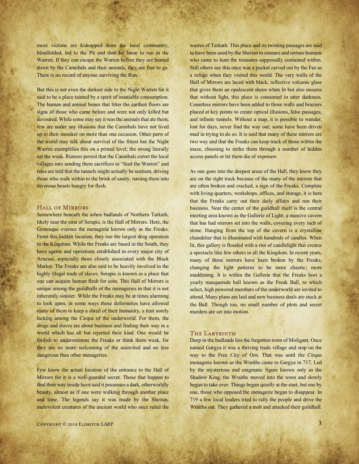more victims are kidnapped from the local community, blindfolded, led to the Pit and then let loose to run in the Warren. If they can escape the Warren before they are hunted down by the Cannibals and their animals, they are free to go. There is no record of anyone surviving the Run.

But this is not even the darkest side to the Night Warren for it said to be a place tainted by a spirit of insatiable consumption. The human and animal bones that litter the earthen floors are signs of those who came before and were not only killed but devoured. While some may say it was the animals that ate them, few are under any illusions that the Cannibals have not lived up to their moniker on more than one occasion. Other parts of the world may talk about survival of the fittest but the Night Warren exemplifies this on a primal level; the strong literally eat the weak. Rumors persist that the Cannibals extort the local villages into sending them sacrifices to "feed the Warren" and tales are told that the tunnels might actually be sentient, driving those who walk within to the brink of sanity, turning them into ravenous beasts hungry for flesh.

## Hall of Mirrors

Somewhere beneath the ashen badlands of Northern Tarkath, likely near the sirat of Serapis, is the Hall of Mirrors. Here, the Grotesque oversee the menagerie known only as the Freaks. From this hidden location, they run the largest drug operation in the Kingdom. While the Freaks are based in the South, they have agents and operations established in every major city of Arnesse, especially those closely associated with the Black Market. The Freaks are also said to be heavily involved in the highly illegal trade of slaves. Serapis is known as a place that one can acquire human flesh for coin. This Hall of Mirrors is unique among the guildhalls of the menageries in that it is not inherently sinister. While the Freaks may be at times alarming to look upon, in some ways those deformities have allowed many of them to keep a shred of their humanity, a trait sorely lacking among the Cirque of the underworld. For them, the drugs and slaves are about business and finding their way in a world which has all but rejected their kind. One would be foolish to underestimate the Freaks or think them weak, for they are no more welcoming of the uninvited and no less dangerous than other menageries.

Few know the actual location of the entrance to the Hall of Mirrors for it is a well-guarded secret. Those that happen to find their way inside have said it possesses a dark, otherworldly beauty, almost as if one were walking through another place and time. The legends say it was made by the Sheitan, malevolent creatures of the ancient world who once ruled the wastes of Tarkath. This place and its twisting passages are said to have been used by the Sheitan to ensnare and torture humans who came to hunt the treasures supposedly contained within. Still others say this once was a pocket carved out by the Fae as a refuge when they visited this world. The very walls of the Hall of Mirrors are laced with black, reflective volcanic glass that gives them an opalescent sheen when lit but also ensures that without light, this place is consumed in utter darkness. Countless mirrors have been added to those walls and braziers placed at key points to create optical illusions, false passages, and infinite tunnels. Without a map, it is possible to wander, lost for days, never find the way out; some have been driven mad in trying to do so. It is said that many of these mirrors are two way and that the Freaks can keep track of those within the maze, choosing to strike them through a number of hidden access panels or let them die of exposure.

As one goes into the deepest areas of the Hall, they know they are on the right track because of the many of the mirrors that are often broken and cracked, a sign of the Freaks. Complete with living quarters, workshops, offices, and storage, it is here that the Freaks carry out their daily affairs and run their business. Near the center of the guildhall itself is the central meeting area known as the Gallerie of Light; a massive cavern that has had mirrors set into the walls, covering every inch of stone. Hanging from the top of the cavern is a crystalline chandelier that is illuminated with hundreds of candles. When lit, this gallery is flooded with a riot of candlelight that creates a spectacle like few others in all the Kingdom. In recent years, many of these mirrors have been broken by the Freaks, changing the light patterns to be more chaotic; more maddening. It is within the Gallerie that the Freaks host a yearly masquerade ball known as the Freak Ball, to which select, high powered members of the underworld are invited to attend. Many plans are laid and new business deals are stuck at the Ball. Though too, no small number of plots and secret murders are set into motion.

## The Labyrinth

Deep in the badlands lies the forgotten town of Moligant. Once named Gargya it was a thriving trade village and stop on the way to the Free City of Orn. That was until the Cirque menagerie known as the Wraiths came to Gargya in 717. Led by the mysterious and enigmatic figure known only as the Shadow King, the Wraiths moved into the town and slowly began to take over. Things began quietly at the start, but one by one, those who opposed the menagerie began to disappear. In 719 a few local leaders tried to rally the people and drive the Wraiths out. They gathered a mob and attacked their guildhall.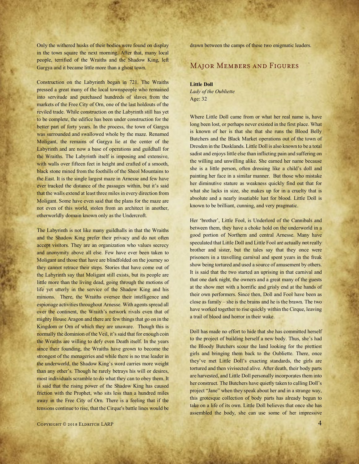Only the withered husks of their bodies were found on display in the town square the next morning. After that, many local people, terrified of the Wraiths and the Shadow King, left Gargya and it became little more than a ghost town.

Construction on the Labyrinth began in 721. The Wraiths pressed a great many of the local townspeople who remained into servitude and purchased hundreds of slaves from the markets of the Free City of Orn, one of the last holdouts of the reviled trade. While construction on the Labyrinth still has yet to be complete, the edifice has been under construction for the better part of forty years. In the process, the town of Gargya was surrounded and swallowed whole by the maze. Renamed Moligant, the remains of Gargya lie at the center of the Labyrinth and are now a base of operations and guildhall for the Wraiths. The Labyrinth itself is imposing and extensive, with walls over fifteen feet in height and crafted of a smooth, black stone mined from the foothills of the Sheol Mountains to the East. It is the single largest maze in Arnesse and few have ever tracked the distance of the passages within, but it's said that the walls extend at least three miles in every direction from Moligant. Some have even said that the plans for the maze are not even of this world, stolen from an architect in another, otherworldly domain known only as the Undercroft.

The Labyrinth is not like many guildhalls in that the Wraiths and the Shadow King prefer their privacy and do not often accept visitors. They are an organization who values secrecy and anonymity above all else. Few have ever been taken to Moligant and those that have are blindfolded on the journey so they cannot retrace their steps. Stories that have come out of the Labyrinth say that Moligant still exists, but its people are little more than the living dead, going through the motions of life yet utterly in the service of the Shadow King and his minions. There, the Wraiths oversee their intelligence and espionage activities throughout Arnesse. With agents spread all over the continent, the Wraith's network rivals even that of mighty House Aragon and there are few things that go on in the Kingdom or Orn of which they are unaware. Though this is normally the dominion of the Veil, it's said that for enough coin the Wraiths are willing to defy even Death itself. In the years since their founding, the Wraiths have grown to become the strongest of the menageries and while there is no true leader in the underworld, the Shadow King's word carries more weight than any other's. Though he rarely betrays his will or desires, most individuals scramble to do what they can to obey them. It is said that the rising power of the Shadow King has caused friction with the Prophet, who sits less than a hundred miles away in the Free City of Orn. There is a feeling that if the tensions continue to rise, that the Cirque's battle lines would be

drawn between the camps of these two enigmatic leaders.

# Major Members and Figures

**Little Doll** *Lady of the Oubliette* Age: 32

Where Little Doll came from or what her real name is, have long been lost, or perhaps never existed in the first place. What is known of her is that she that she runs the Blood Belly Butchers and the Black Market operations out of the town of Dresden in the Dusklands. Little Doll is also known to be a total sadist and enjoys little else than inflicting pain and suffering on the willing and unwilling alike. She earned her name because she is a little person, often dressing like a child's doll and painting her face in a similar manner. But those who mistake her diminutive stature as weakness quickly find out that for what she lacks in size, she makes up for in a cruelty that is absolute and a nearly insatiable lust for blood. Little Doll is known to be brilliant, cunning, and very pragmatic.

Her 'brother', Little Fool, is Underlord of the Cannibals and between them, they have a choke hold on the underworld in a good portion of Northern and central Arnesse. Many have speculated that Little Doll and Little Fool are actually not really brother and sister, but the tales say that they once were prisoners in a travelling carnival and spent years in the freak show being tortured and used a source of amusement by others. It is said that the two started an uprising in that carnival and that one dark night, the owners and a great many of the guests at the show met with a horrific and grisly end at the hands of their own performers. Since then, Doll and Fool have been as close as family – she is the brains and he is the brawn. The two have worked together to rise quickly within the Cirque, leaving a trail of blood and horror in their wake.

Doll has made no effort to hide that she has committed herself to the project of building herself a new body. Thus, she's had the Bloody Butchers scour the land looking for the prettiest girls and bringing them back to the Oubliette. There, once they've met Little Doll's exacting standards, the girls are tortured and then vivisected alive. After death, their body parts are harvested, and Little Doll personally incorporates them into her construct. The Butchers have quietly taken to calling Doll's project "Jane" when they speak about her and in a strange way, this grotesque collection of body parts has already begun to take on a life of its own. Little Doll believes that once she has assembled the body, she can use some of her impressive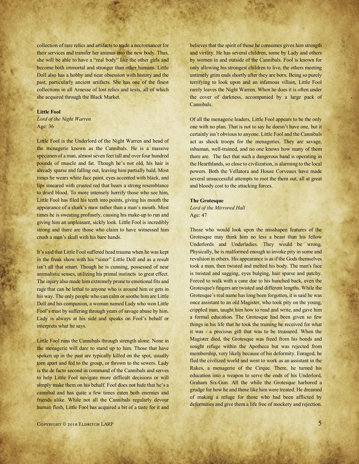collection of rare relics and artifacts to trade a necromancer for their services and transfer her animus into the new body. Thus, she will be able to have a "real body" like the other girls and become both immortal and stronger than other humans. Little Doll also has a hobby and near obsession with history and the past, particularly ancient artifacts. She has one of the finest collections in all Arnesse of lost relics and texts, all of which she acquired through the Black Market.

#### **Little Fool**

*Lord of the Night Warren* Age: 36

Little Fool is the Underlord of the Night Warren and head of the menagerie known as the Cannibals. He is a massive specimen of a man, almost seven feet tall and over four hundred pounds of muscle and fat. Though he's not old, his hair is already sparse and falling out, leaving him partially bald. Most times he wears white face paint, eyes accented with black, and lips smeared with crusted red that bears a strong resemblance to dried blood. To more intensely horrify those who see him, Little Fool has filed his teeth into points, giving his mouth the appearance of a shark's maw rather than a man's mouth. Most times he is sweating profusely, causing his make-up to run and giving him an unpleasant, sickly look. Little Fool is incredibly strong and there are those who claim to have witnessed him crush a man's skull with his bare hands.

It's said that Little Fool suffered head trauma when he was kept in the freak show with his "sister" Little Doll and as a result isn't all that smart. Though he is cunning, possessed of near animalistic senses, utilizing his primal instincts to great effect. The injury also made him extremely prone to emotional fits and rage that can be lethal to anyone who is around him or gets in his way. The only people who can calm or soothe him are Little Doll and his companion, a woman named Lady who won Little Fool's trust by suffering through years of savage abuse by him. Lady is always at his side and speaks on Fool's behalf or interprets what he says.

Little Fool runs the Cannibals through strength alone. None in the menagerie will dare to stand up to him. Those that have spoken up in the past are typically killed on the spot, usually torn apart and fed to the group, or thrown to the sewers. Lady is the de facto second in command of the Cannibals and serves to help Little Fool navigate more difficult decisions or will simply make them on his behalf. Fool does not hide that he's a cannibal and has quite a few times eaten both enemies and friends alike. While not all the Cannibals regularly devour human flesh, Little Fool has acquired a bit of a taste for it and believes that the spirit of those he consumes gives him strength and virility. He has several children, some by Lady and others by women in and outside of the Cannibals. Fool is known for only allowing his strongest children to live, the others meeting untimely grim ends shortly after they are born. Being so purely terrifying to look upon and an infamous villain, Little Fool rarely leaves the Night Warren. When he does it is often under the cover of darkness, accompanied by a large pack of Cannibals.

Of all the menagerie leaders, Little Fool appears to be the only one with no plan. That is not to say he doesn't have one, but it certainly isn't obvious to anyone. Little Fool and the Cannibals act as shock troops for the menageries. They are savage, inhuman, well-trained, and no one knows how many of them there are. The fact that such a dangerous band is operating in the Hearthlands, so close to civilization, is alarming to the local powers. Both the Vellatora and House Corveaux have made several unsuccessful attempts to root the them out, all at great and bloody cost to the attacking forces.

#### **The Grotesque**

*Lord of the Mirrored Hall* Age: 47

Those who would look upon the misshapen features of the Grotesque may think him no less a beast than his fellow Underlords and Underladies. They would be wrong. Physically, he is malformed enough to invoke pity in some and revulsion in others. His appearance is as if the Gods themselves took a man, then twisted and melted his body. The man's face is twisted and sagging, eyes bulging, hair sparse and patchy. Forced to walk with a cane due to his hunched back, even the Grotesque's fingers are twisted and different lengths. While the Grotesque's real name has long been forgotten, it is said he was once assistant to an old Magister, who took pity on the young, crippled man, taught him how to read and write, and gave him a formal education. The Grotesque had been given so few things in his life that he took the training he received for what it was - a precious gift that was to be treasured. When the Magister died, the Grotesque was freed from his bonds and sought refuge within the Apotheca but was rejected from membership, very likely because of his deformity. Enraged, he fled the civilized world and went to work as an assistant in the Rakes, a menagerie of the Cirque. There, he turned his education into a weapon to serve the ends of his Underlord, Graham Six-Gun. All the while the Grotesque harbored a grudge for how he and those like him were treated. He dreamed of making a refuge for those who had been afflicted by deformities and give them a life free of mockery and rejection.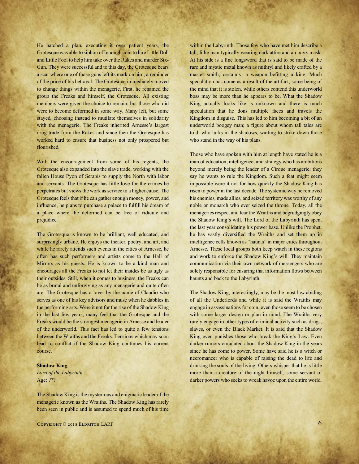He hatched a plan, executing it over patient years, the Grotesque was able to siphon off enough coin to hire Little Doll and Little Fool to help him take over the Rakes and murder Six-Gun. They were successful and to this day, the Grotesque bears a scar where one of those guns left its mark on him; a reminder of the price of his betrayal. The Grotesque immediately moved to change things within the menagerie. First, he renamed the group the Freaks and himself, the Grotesque. All existing members were given the choice to remain, but those who did were to become deformed in some way. Many left, but some stayed, choosing instead to mutilate themselves in solidarity with the menagerie. The Freaks inherited Arnesse's largest drug trade from the Rakes and since then the Grotesque has worked hard to ensure that business not only prospered but flourished.

With the encouragement from some of his regents, the Grotesque also expanded into the slave trade, working with the fallen House Pyon of Serapis to supply the North with labor and servants. The Grotesque has little love for the crimes he perpetrates but views the work as service to a higher cause. The Grotesque feels that if he can gather enough money, power, and influence, he plans to purchase a palace to fulfill his dream of a place where the deformed can be free of ridicule and prejudice.

The Grotesque is known to be brilliant, well educated, and surprisingly urbane. He enjoys the theater, poetry, and art, and while he rarely attends such events in the cities of Arnesse, he often has such performers and artists come to the Hall of Mirrors as his guests. He is known to be a kind man and encourages all the Freaks to not let their insides be as ugly as their outsides. Still, when it comes to business, the Freaks can be as brutal and unforgiving as any menagerie and quite often are. The Grotesque has a lover by the name of Claudio who serves as one of his key advisors and muse when he dabbles in the performing arts. Were it not for the rise of the Shadow King in the last few years, many feel that the Grotesque and the Freaks would be the strongest menagerie in Arnesse and leader of the underworld. This fact has led to quite a few tensions between the Wraiths and the Freaks. Tensions which may soon lead to conflict if the Shadow King continues his current course.

#### **Shadow King**

*Lord of the Labyrinth* Age: ???

The Shadow King is the mysterious and enigmatic leader of the menagerie known as the Wraiths. The Shadow King has rarely been seen in public and is assumed to spend much of his time within the Labyrinth. Those few who have met him describe a tall, lithe man typically wearing dark attire and an onyx mask. At his side is a fine longsword that is said to be made of the rare and mystic metal known as mithryl and likely crafted by a master smith; certainly, a weapon befitting a king. Much speculation has come as a result of the artifact, some being of the mind that it is stolen, while others contend this underworld boss may be more than he appears to be. What the Shadow King actually looks like is unknown and there is much speculation that he dons multiple faces and travels the Kingdom in disguise. This has led to him becoming a bit of an underworld boogey man; a figure about whom tall tales are told, who lurks in the shadows, waiting to strike down those who stand in the way of his plans.

Those who have spoken with him at length have stated he is a man of education, intelligence, and strategy who has ambitions beyond merely being the leader of a Cirque menagerie; they say he wants to rule the Kingdom. Such a feat might seem impossible were it not for how quickly the Shadow King has risen to power in the last decade. The systemic way he removed his enemies, made allies, and seized territory was worthy of any noble or monarch who ever seized the throne. Today, all the menageries respect and fear the Wraiths and begrudgingly obey the Shadow King's will. The Lord of the Labyrinth has spent the last year consolidating his power base. Unlike the Prophet, he has vastly diversified the Wraiths and set them up in intelligence cells known as "haunts" in major cities throughout Arnesse. These local groups both keep watch in these regions and work to enforce the Shadow King's will. They maintain communication via their own network of messengers who are solely responsible for ensuring that information flows between haunts and back to the Labyrinth.

The Shadow King, interestingly, may be the most law abiding of all the Underlords and while it is said the Wraiths may engage in assassinations for coin, even those seem to be chosen with some larger design or plan in mind. The Wraiths very rarely engage in other types of criminal activity such as drugs, slaves, or even the Black Market. It is said that the Shadow King even punishes those who break the King's Law. Even darker rumors circulated about the Shadow King in the years since he has come to power. Some have said he is a witch or necromancer who is capable of raising the dead to life and drinking the souls of the living. Others whisper that he is little more than a creature of the night himself, some servant of darker powers who seeks to wreak havoc upon the entire world.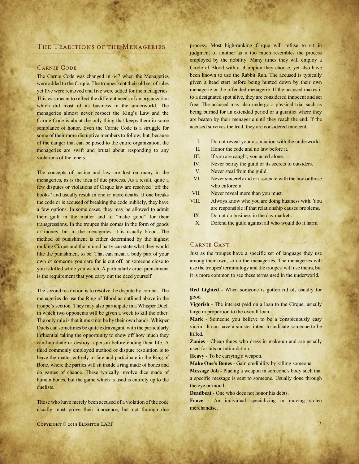# The Traditions of the Menageries

# Carnie Code

The Carnie Code was changed in 647 when the Menageries were added to the Cirque. The troupes kept their old set of rules yet five were removed and five were added for the menageries. This was meant to reflect the different needs of an organization which did most of its business in the underworld. The menageries almost never respect the King's Law and the Carnie Code is about the only thing that keeps them in some semblance of honor. Even the Carnie Code is a struggle for some of their more disruptive members to follow, but, because of the danger that can be posed to the entire organization, the menageries are swift and brutal about responding to any violations of the tenets.

The concepts of justice and law are lost on many in the menageries, as is the idea of due process. As a result, quite a few disputes or violations of Cirque law are resolved "off the books" and usually result in one or more deaths. If one breaks the code or is accused of breaking the code publicly, they have a few options. In some cases, they may be allowed to admit their guilt in the matter and to "make good" for their transgressions. In the troupes this comes in the form of goods or money, but in the menageries, it is usually blood. The method of punishment is either determined by the highest ranking Cirque and the injured party can state what they would like the punishment to be. That can mean a body part of your own or someone you care for is cut off, or someone close to you is killed while you watch. A particularly cruel punishment is the requirement that you carry out the deed yourself.

The second resolution is to resolve the dispute by combat. The menageries do use the Ring of Blood as outlined above in the troupe's section. They may also participate in a Whisper Duel, in which two opponents will be given a week to kill the other. The only rule is that it must not be by their own hands. Whisper Duels can sometimes be quite extravagant, with the particularly influential taking the opportunity to show off how much they can humiliate or destroy a person before ending their life. A third commonly employed method of dispute resolution is to leave the matter entirely to fate and participate in the Ring of Bone, where the parties will sit inside a ring made of bones and do games of chance. These typically involve dice made of human bones, but the game which is used is entirely up to the duelists.

Those who have merely been accused of a violation of the code usually must prove their innocence, but not through due

 $C$ opyright © 2018 Eldritch LARP 7

process. Most high-ranking Cirque will refuse to sit in judgment of another as it too much resembles the process employed by the nobility. Many times they will employ a Circle of Blood with a champion they choose, yet also have been known to use the Rabbit Run. The accused is typically given a head start before being hunted down by their own menagerie or the offended menagerie. If the accused makes it to a designated spot alive, they are considered innocent and set free. The accused may also undergo a physical trial such as being burned for an extended period or a gauntlet where they are beaten by their menagerie until they reach the end. If the accused survives the trial, they are considered innocent.

- I. Do not reveal your association with the underworld.
- II. Honor the code and no law before it.
- III. If you are caught, you acted alone.
- IV. Never betray the guild or its secrets to outsiders.
- V. Never steal from the guild.
- VI. Never sincerely aid or associate with the law or those who enforce it.
- VII. Never reveal more than you must.
- VIII. Always know who you are doing business with. You are responsible if that relationship causes problems.
- IX. Do not do business in the day markets.
- X. Defend the guild against all who would do it harm.

# Carnie Cant

Just as the troupes have a specific set of language they use among their own, so do the menageries. The menageries will use the troupes' terminology and the troupes' will use theirs, but it is more common to see these terms used in the underworld.

**Red Lighted** - When someone is gotten rid of, usually for good.

**Vigorish** - The interest paid on a loan to the Cirque, usually large in proportion to the overall loan.

**Mark** - Someone you believe to be a conspicuously easy victim. It can have a sinister intent to indicate someone to be killed.

**Zanies** - Cheap thugs who dress in make-up and are usually used for hits or intimidation.

**Heavy** - To be carrying a weapon.

**Make One's Bones** - Gain credibility by killing someone.

**Message Job** - Placing a weapon in someone's body such that a specific message is sent to someone. Usually done through the eye or mouth.

**Deadbeat** - One who does not honor his debts.

**Fence** - An individual specializing in moving stolen merchandise.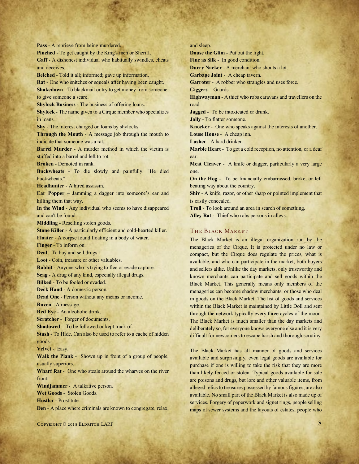COPYRIGHT © 2018 ELDRITCH LARP 8 **Pass** - A reprieve from being murdered. **Pinched** - To get caught by the King's men or Sheriff. **Gaff** - A dishonest individual who habitually swindles, cheats and deceives. **Belched** - Told it all; informed; gave up information. **Rat** - One who snitches or squeals after having been caught. **Shakedown** - To blackmail or try to get money from someone; to give someone a scare. **Shylock Business** - The business of offering loans. **Shylock** - The name given to a Cirque member who specializes in loans. **Shy** - The interest charged on loans by shylocks. **Through the Mouth** - A message job through the mouth to indicate that someone was a rat. **Barrel Murder** - A murder method in which the victim is stuffed into a barrel and left to rot. **Broken** - Demoted in rank. **Buckwheats** - To die slowly and painfully. "He died buckwheats." **Headhunter** - A hired assassin. **Ear Popper** – Jamming a dagger into someone's ear and killing them that way. **In the Wind** - Any individual who seems to have disappeared and can't be found. **Middling** - Reselling stolen goods. **Stone Killer** - A particularly efficient and cold-hearted killer. **Floater** - A corpse found floating in a body of water. **Finger** - To inform on. **Deal** - To buy and sell drugs **Loot** - Coin, treasure or other valuables. **Rabbit** - Anyone who is trying to flee or evade capture. **Scag** - A drug of any kind, especially illegal drugs. **Bilked** - To be fooled or evaded. **Deck Hand** - A domestic person. **Dead One** - Person without any means or income. **Raven** - A message. **Red Eye** - An alcoholic drink. **Scratcher** - Forger of documents. **Shadowed** - To be followed or kept track of. **Stash** - To Hide. Can also be used to refer to a cache of hidden goods. **Velvet** - Easy. **Walk the Plank** - Shown up in front of a group of people, usually superiors. **Wharf Rat** - One who steals around the wharves on the river front. **Windjammer** - A talkative person. **Wet Goods** - Stolen Goods. **Hustler** - Prostitute **Den** - A place where criminals are known to congregate, relax,

and sleep.

**Douse the Glim** - Put out the light.

**Fine as Silk** - In good condition.

**Durry Nacker** - A merchant who shouts a lot.

**Garbage Joint** - A cheap tavern.

**Garroter** - A robber who strangles and uses force.

**Giggers** - Guards.

**Highwayman** - A thief who robs caravans and travellers on the road.

**Jagged** - To be intoxicated or drunk.

**Jolly** - To flatter someone.

**Knocker** - One who speaks against the interests of another.

**Louse House** - A cheap inn.

**Lusher** - A hard drinker.

**Marble Heart** - To get a cold reception, no attention, or a deaf ear.

**Meat Cleaver** - A knife or dagger, particularly a very large one.

**On the Hog** - To be financially embarrassed, broke, or left beating way about the country.

**Shiv** - A knife, razor, or other sharp or pointed implement that is easily concealed.

**Troll** - To look around an area in search of something. **Alley Rat** - Thief who robs persons in alleys.

# The Black Market

The Black Market is an illegal organization run by the menageries of the Cirque. It is protected under no law or compact, but the Cirque does regulate the prices, what is available, and who can participate in the market, both buyers and sellers alike. Unlike the day markets, only trustworthy and known merchants can participate and sell goods within the Black Market. This generally means only members of the menageries can become shadow merchants, or those who deal in goods on the Black Market. The list of goods and services within the Black Market is maintained by Little Doll and sent through the network typically every three cycles of the moon. The Black Market is much smaller than the day markets and deliberately so, for everyone knows everyone else and it is very difficult for newcomers to escape harsh and thorough scrutiny.

The Black Market has all manner of goods and services available and surprisingly, even legal goods are available for purchase if one is willing to take the risk that they are more than likely fenced or stolen. Typical goods available for sale are poisons and drugs, but lore and other valuable items, from alleged relics to treasures possessed by famous figures, are also available. No small part of the Black Market is also made up of services. Forgery of paperwork and signet rings, people selling maps of sewer systems and the layouts of estates, people who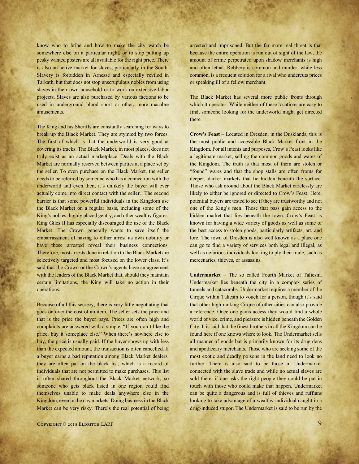know who to bribe and how to make the city watch be somewhere else on a particular night, or to stop putting up pesky wanted posters are all available for the right price. There is also an active market for slaves, particularly in the South. Slavery is forbidden in Arnesse and especially reviled in Tarkath, but that does not stop unscrupulous nobles from using slaves in their own household or to work on extensive labor projects. Slaves are also purchased by various factions to be used in underground blood sport or other, more macabre amusements.

The King and his Sheriffs are constantly searching for ways to break up the Black Market. They are stymied by two forces. The first of which is that the underworld is very good at covering its tracks. The Black Market, in most places, does not truly exist as an actual marketplace. Deals with the Black Market are normally reserved between parties at a place set by the seller. To even purchase on the Black Market, the seller needs to be referred by someone who has a connection with the underworld and even then, it's unlikely the buyer will ever actually come into direct contact with the seller. The second barrier is that some powerful individuals in the Kingdom use the Black Market on a regular basis, including some of the King's nobles, highly placed gentry, and other wealthy figures. King Giles II has especially discouraged the use of the Black Market. The Crown generally wants to save itself the embarrassment of having to either arrest its own nobility or have those arrested reveal their business connections. Therefore, most arrests done in relation to the Black Market are selectively targeted and most focused on the lower class. It's said that the Crown or the Crown's agents have an agreement with the leaders of the Black Market that, should they maintain certain limitations, the King will take no action in their operations.

Because of all this secrecy, there is very little negotiating that goes on over the cost of an item. The seller sets the price and that is the price the buyer pays. Prices are often high and complaints are answered with a simple, "If you don't like the price, buy it someplace else." When there's nowhere else to buy, the price is usually paid. If the buyer shows up with less than the expected amount, the transaction is often cancelled. If a buyer earns a bad reputation among Black Market dealers, they are often put on the black list, which is a record of individuals that are not permitted to make purchases. This list is often shared throughout the Black Market network, so someone who gets black listed in one region could find themselves unable to make deals anywhere else in the Kingdom, even in the day markets. Doing business in the Black Market can be very risky. There's the real potential of being

arrested and imprisoned. But the far more real threat is that because the entire operation is run out of sight of the law, the amount of crime perpetrated upon shadow merchants is high and often lethal. Robbery is common and murder, while less common, is a frequent solution for a rival who undercuts prices or speaking ill of a fellow merchant.

The Black Market has several more public fronts through which it operates. While neither of these locations are easy to find, someone looking for the underworld might get directed there.

**Crow's Feast** – Located in Dresden, in the Dusklands, this is the most public and accessible Black Market front in the Kingdom. For all intents and purposes, Crow's Feast looks like a legitimate market, selling the common goods and wares of the Kingdom. The truth is that most of them are stolen or "found" wares and that the shop stalls are often fronts for deeper, darker markets that lie hidden beneath the surface. Those who ask around about the Black Market carelessly are likely to either be ignored or directed to Crow's Feast. Here, potential buyers are tested to see if they are trustworthy and not one of the King's men. Those that pass gain access to the hidden market that lies beneath the town. Crow's Feast is known for having a wide variety of goods as well as some of the best access to stolen goods, particularly artifacts, art, and lore. The town of Dresden is also well known as a place one can go to find a variety of services both legal and illegal, as well as nefarious individuals looking to ply their trade, such as mercenaries, thieves, or assassins.

**Undermarket** – The so called Fourth Market of Taliesin, Undermarket lies beneath the city in a complex series of tunnels and catacombs. Undermarket requires a member of the Cirque within Taliesin to vouch for a person, though it's said that other high-ranking Cirque of other cities can also provide a reference. Once one gains access they would find a whole world of vice, crime, and pleasure is hidden beneath the Golden City. It is said that the finest brothels in all the Kingdom can be found here if one knows where to look. The Undermarket sells all manner of goods but is primarily known for its drug dens and apothecary merchants. Those who are seeking some of the most exotic and deadly poisons in the land need to look no further. There is also said to be those in Undermarket connected with the slave trade and while no actual slaves are sold there, if one asks the right people they could be put in touch with those who could make that happen. Undermarket can be quite a dangerous and is full of thieves and ruffians looking to take advantage of a wealthy individual caught in a drug-induced stupor. The Undermarket is said to be run by the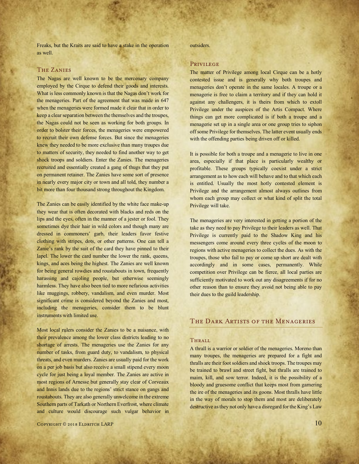Freaks, but the Kraits are said to have a stake in the operation as well.

# The Zanies

The Nagas are well known to be the mercenary company employed by the Cirque to defend their goods and interests. What is less commonly known is that the Nagas don't work for the menageries. Part of the agreement that was made in 647 when the menageries were formed made it clear that in order to keep a clear separation between the themselves and the troupes, the Nagas could not be seen as working for both groups. In order to bolster their forces, the menageries were empowered to recruit their own defense forces. But since the menageries knew they needed to be more exclusive than many troupes due to matters of security, they needed to find another way to get shock troops and soldiers. Enter the Zanies. The menageries recruited and essentially created a gang of thugs that they put on permanent retainer. The Zanies have some sort of presence in nearly every major city or town and all told, they number a bit more than four thousand strong throughout the Kingdom.

The Zanies can be easily identified by the white face make-up they wear that is often decorated with blacks and reds on the lips and the eyes, often in the manner of a jester or fool. They sometimes dye their hair in wild colors and though many are dressed in commoners' garb, their leaders favor festive clothing with stripes, dots, or other patterns. One can tell a Zanie's rank by the suit of the card they have pinned to their lapel. The lower the card number the lower the rank, queens, kings, and aces being the highest. The Zanies are well known for being general rowdies and roustabouts in town, frequently harassing and cajoling people, but otherwise seemingly harmless. They have also been tied to more nefarious activities like muggings, robbery, vandalism, and even murder. Most significant crime is considered beyond the Zanies and most, including the menageries, consider them to be blunt instruments with limited use.

Most local rulers consider the Zanies to be a nuisance, with their prevalence among the lower class districts leading to no shortage of arrests. The menageries use the Zanies for any number of tasks, from guard duty, to vandalism, to physical threats, and even murders. Zanies are usually paid for the work on a per job basis but also receive a small stipend every moon cycle for just being a loyal member. The Zanies are active in most regions of Arnesse but generally stay clear of Corveaux and Innis lands due to the regions' strict stance on gangs and roustabouts. They are also generally unwelcome in the extreme Southern parts of Tarkath or Northern Everfrost, where climate and culture would discourage such vulgar behavior in

outsiders.

## Privilege

The matter of Privilege among local Cirque can be a hotly contested issue and is generally why both troupes and menageries don't operate in the same locales. A troupe or a menagerie is free to claim a territory and if they can hold it against any challengers, it is theirs from which to extoll Privilege under the auspices of the Artis Compact. Where things can get more complicated is if both a troupe and a menagerie set up in a single area or one group tries to siphon off some Privilege for themselves. The latter event usually ends with the offending parties being driven off or killed.

It is possible for both a troupe and a menagerie to live in one area, especially if that place is particularly wealthy or profitable. These groups typically coexist under a strict arrangement as to how each will behave and to that which each is entitled. Usually the most hotly contested element is Privilege and the arrangement almost always outlines from whom each group may collect or what kind of split the total Privilege will take.

The menageries are very interested in getting a portion of the take as they need to pay Privilege to their leaders as well. That Privilege is currently paid to the Shadow King and his messengers come around every three cycles of the moon to regions with active menageries to collect the dues. As with the troupes, those who fail to pay or come up short are dealt with accordingly and in some cases, permanently. While competition over Privilege can be fierce, all local parties are sufficiently motivated to work out any disagreements if for no other reason than to ensure they avoid not being able to pay their dues to the guild leadership.

# THE DARK ARTISTS OF THE MENAGERIES

## **THRALL**

A thrall is a warrior or soldier of the menageries. Moreno than many troupes, the menageries are prepared for a fight and thralls are their foot soldiers and shock troops. The troupes may be trained to brawl and street fight, but thralls are trained to maim, kill, and sow terror. Indeed, it is the possibility of a bloody and gruesome conflict that keeps most from garnering the ire of the menageries and its goons. Most thralls have little in the way of morals to stop them and most are deliberately destructive as they not only have a disregard for the King's Law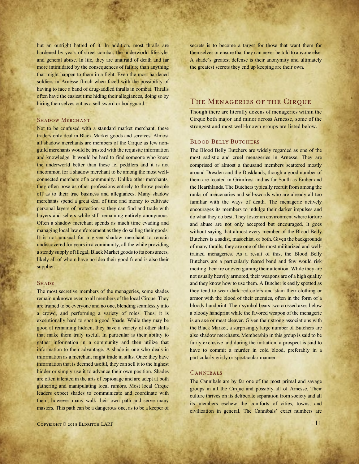but an outright hatred of it. In addition, most thralls are hardened by years of street combat, the underworld lifestyle, and general abuse. In life, they are unafraid of death and far more intimidated by the consequences of failure than anything that might happen to them in a fight. Even the most hardened soldiers in Arnesse flinch when faced with the possibility of having to face a band of drug-addled thralls in combat. Thralls often have the easiest time hiding their allegiances, doing so by hiring themselves out as a sell sword or bodyguard.

## **SHADOW MERCHANT**

Not to be confused with a standard market merchant, these traders only deal in Black Market goods and services. Almost all shadow merchants are members of the Cirque as few nonguild merchants would be trusted with the requisite information and knowledge. It would be hard to find someone who knew the underworld better than these fel peddlers and it is not uncommon for a shadow merchant to be among the most wellconnected members of a community. Unlike other merchants, they often pose as other professions entirely to throw people off as to their true business and allegiances. Many shadow merchants spend a great deal of time and money to cultivate personal layers of protection so they can find and trade with buyers and sellers while still remaining entirely anonymous. Often a shadow merchant spends as much time evading and managing local law enforcement as they do selling their goods. It is not unusual for a given shadow merchant to remain undiscovered for years in a community, all the while providing a steady supply of illegal, Black Market goods to its consumers, likely all of whom have no idea their good friend is also their supplier.

## **SHADE**

The most secretive members of the menageries, some shades remain unknown even to all members of the local Cirque. They are trained to be everyone and no one, blending seamlessly into a crowd, and performing a variety of roles. Thus, it is exceptionally hard to spot a good Shade. While they may be good at remaining hidden, they have a variety of other skills that make them truly useful. In particular is their ability to gather information in a community and then utilize that information to their advantage. A shade is one who deals in information as a merchant might trade in silks. Once they have information that is deemed useful, they can sell it to the highest bidder or simply use it to advance their own position. Shades are often talented in the arts of espionage and are adept at both gathering and manipulating local rumors. Most local Cirque leaders expect shades to communicate and coordinate with them, however many walk their own path and serve many masters. This path can be a dangerous one, as to be a keeper of secrets is to become a target for those that want them for themselves or ensure that they can never be told to anyone else. A shade's greatest defense is their anonymity and ultimately the greatest secrets they end up keeping are their own.

# The Menageries of the Cirque

Though there are literally dozens of menageries within the Cirque both major and minor across Arnesse, some of the strongest and most well-known groups are listed below.

# **BLOOD BELLY BUTCHERS**

The Blood Belly Butchers are widely regarded as one of the most sadistic and cruel menageries in Arnesse. They are comprised of almost a thousand members scattered mostly around Dresden and the Dusklands, though a good number of them are located in Grimfrost and as far South as Ember and the Hearthlands. The Butchers typically recruit from among the ranks of mercenaries and sell-swords who are already all too familiar with the ways of death. The menagerie actively encourages its members to indulge their darker impulses and do what they do best. They foster an environment where torture and abuse are not only accepted but encouraged. It goes without saying that almost every member of the Blood Belly Butchers is a sadist, masochist, or both. Given the backgrounds of many thralls, they are one of the most militarized and welltrained menageries. As a result of this, the Blood Belly Butchers are a particularly feared band and few would risk inciting their ire or even gaining their attention. While they are not usually heavily armored, their weapons are of a high quality and they know how to use them. A Butcher is easily spotted as they tend to wear dark red colors and stain their clothing or armor with the blood of their enemies, often in the form of a bloody handprint. Their symbol bears two crossed axes below a bloody handprint while the favored weapon of the menagerie is an axe or meat cleaver. Given their strong associations with the Black Market, a surprisingly large number of Butchers are also shadow merchants. Membership in this group is said to be fairly exclusive and during the initiation, a prospect is said to have to commit a murder in cold blood, preferably in a particularly grisly or spectacular manner.

# **CANNIBALS**

The Cannibals are by far one of the most primal and savage groups in all the Cirque and possibly all of Arnesse. Their culture thrives on its deliberate separation from society and all its members eschew the comforts of cities, towns, and civilization in general. The Cannibals' exact numbers are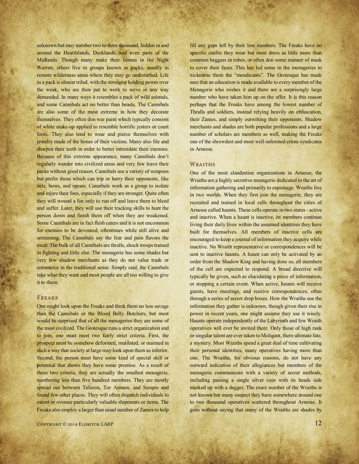unknown but may number two to three thousand, hidden in and around the Hearthlands, Dusklands, and even parts of the Midlands. Though many make their homes in the Night Warren, others live in groups known as packs, usually in remote wilderness areas where they may go undisturbed. Life in a pack is almost tribal, with the strongest holding power over the weak, who are then put to work to serve in any way demanded. In many ways it resembles a pack of wild animals, and some Cannibals act no better than beasts. The Cannibals are also some of the most extreme in how they decorate themselves. They often don war paint which typically consists of white make-up applied to resemble horrific jesters or court fools. They also tend to wear and pierce themselves with jewelry made of the bones of their victims. Many also file and sharpen their teeth in order to better intimidate their enemies. Because of this extreme appearance, many Cannibals don't regularly wander into civilized areas and very few leave their packs without good reason. Cannibals use a variety of weapons but prefer those which can trip or harry their opponents, like nets, bows, and spears. Cannibals work as a group to isolate and injure their foes, especially if they are stronger. Quite often they will wound a foe only to run off and leave them to bleed and suffer. Later, they will use their tracking skills to hunt the person down and finish them off when they are weakened. Some Cannibals are in fact flesh eaters and it is not uncommon for enemies to be devoured, oftentimes while still alive and screaming. The Cannibals say the fear and pain flavors the meat. The bulk of all Cannibals are thralls, shock troops trained in fighting and little else. The menagerie has some shades but very few shadow merchants as they do not value trade or commerce in the traditional sense. Simply said, the Cannibals take what they want and most people are all too willing to give it to them.

# Freaks

One might look upon the Freaks and think them no less savage than the Cannibals or the Blood Belly Butchers, but most would be surprised that of all the menageries they are some of the most civilized. The Grotesque runs a strict organization and to join, one must meet two fairly strict criteria. First, the prospect must be somehow deformed, mutilated, or maimed in such a way that society at large may look upon them as inferior. Second, the person must have some kind of special skill or potential that shows they have some promise. As a result of these two criteria, they are actually the smallest menagerie, numbering less than five hundred members. They are mostly spread out between Taliesin, Tor Amnon, and Serapis and found few other places. They will often dispatch individuals to escort or oversee particularly valuable shipments or items. The Freaks also employ a larger than usual number of Zanies to help

fill any gaps left by their low numbers. The Freaks have no specific outfits they wear but most dress as little more than common beggars in robes, or often don some manner of mask to cover their faces. This has led some in the menageries to nickname them the "mendicants". The Grotesque has made sure that an education is made available to every member of the Menagerie who wishes it and there are a surprisingly large number who have taken him up on the offer. It is this reason perhaps that the Freaks have among the lowest number of Thralls and soldiers, instead relying heavily on obfuscation, their Zanies, and simply outwitting their opponents. Shadow merchants and shades are both popular professions and a large number of scholars are members as well, making the Freaks one of the shrewdest and most well-informed crime syndicates in Arnesse.

## WRAITHS

One of the most clandestine organizations in Arnesse, the Wraiths are a highly secretive menagerie dedicated to the art of information gathering and primarily to espionage. Wraiths live in two worlds. When they first join the menagerie, they are recruited and trained in local cells throughout the cities of Arnesse called haunts. These cells operate in two states - active and inactive. When a haunt is inactive, its members continue living their daily lives within the assumed identities they have built for themselves. All members of inactive cells are encouraged to keep a journal of information they acquire while inactive. No Wraith representative or correspondences will be sent to inactive haunts. A haunt can only be activated by an order from the Shadow King and having done so, all members of the cell are expected to respond. A broad directive will typically be given, such as elucidating a piece of information, or stopping a certain event. When active, haunts will receive guests, have meetings, and receive correspondences, often through a series of secret drop boxes. How the Wraiths use the information they gather is unknown, though given their rise in power in recent years, one might assume they use it wisely. Haunts operate independently of the Labyrinth and few Wraith operatives will ever be invited there. Only those of high rank or singular talent are ever taken to Moligant, there ultimate fate, a mystery. Most Wraiths spend a great deal of time cultivating their personal identities, many operatives having more than one. The Wraiths, for obvious reasons, do not have any outward indication of their allegiances but members of the menagerie communicate with a variety of secret methods, including passing a single silver coin with its heads side marked up with a dagger. The exact number of the Wraiths is not known but many suspect they have somewhere around one to two thousand operatives scattered throughout Arnesse. It goes without saying that many of the Wraiths are shades by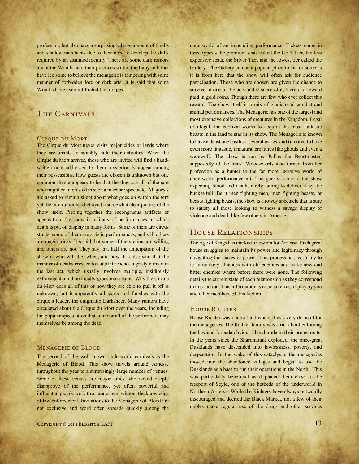profession, but also have a surprisingly large amount of thralls and shadow merchants due to their need to develop the skills required by an assumed identity. There are some dark rumors about the Wraiths and their practices within the Labyrinth that have led some to believe the menagerie is tampering with some manner of forbidden lore or dark arts. It is said that some Wraiths have even infiltrated the troupes.

# The Carnivals

#### Cirque du Mort

The Cirque du Mort never visits major cities or lands where they are unable to suitably hide their activities. When the Cirque du Mort arrives, those who are invited will find a handwritten note addressed to them mysteriously appear among their possessions. How guests are chosen is unknown but one common theme appears to be that the they are all of the sort who might be interested in such a macabre spectacle. All guests are asked to remain silent about what goes on within the tent yet the rare rumor has betrayed a somewhat clear picture of the show itself. Piecing together the incongruous artifacts of speculation, the show is a litany of performances in which death is put on display in many forms. Some of them are circus stunts, some of them are artistic performances, and still others are magic tricks. It's said that some of the victims are willing and others are not. They say that half the anticipation of the show is who will die, when, and how. It's also said that the manner of deaths crescendos until it reaches a grisly climax in the last act, which usually involves multiple, insidiously extravagant and horrifically gruesome deaths. Why the Cirque du Mort does all of this or how they are able to pull it off is unknown, but it apparently all starts and finishes with the cirque's leader, the enigmatic Darksheer. Many rumors have circulated about the Cirque du Mort over the years, including the popular speculation that some or all of the performers may themselves be among the dead.

## Menagerie of Blood

The second of the well-known underworld carnivals is the Menagerie of Blood. This show travels around Arnesse throughout the year to a surprisingly large number of venues. Some of these venues are major cities who would deeply disapprove of the performance, yet often powerful and influential people work to arrange them without the knowledge of law enforcement. Invitations to the Menagerie of Blood are not exclusive and word often spreads quickly among the

 $C$ opyright © 2018 Eldritch LARP 13

underworld of an impending performance. Tickets come in three types - the premium seats called the Gold Tier, the less expensive seats, the Silver Tier, and the lowest tier called the Gallery. The Gallery can be a popular place to sit for some as it is from here that the show will often ask for audience participation. Those who are chosen are given the chance to survive in one of the acts and if successful, there is a reward paid in gold coins. Though there are few who ever collect this reward. The show itself is a mix of gladiatorial combat and animal performances. The Menagerie has one of the largest and most extensive collections of creatures in the Kingdom. Legal or illegal, the carnival works to acquire the most fantastic beasts in the land to star in its show. The Menagerie is known to have at least one basilisk, several wargs, and rumored to have even more fantastic, unnatural creatures like ghouls and even a werewolf. The show is run by Pallas the Beastmaster, supposedly of the Innis' Woodswards who turned from her profession as a hunter to the far more lucrative world of underworld performance art. The guests come to the show expecting blood and death, rarely failing to deliver it by the bucket-full. Be it men fighting men, men fighting beasts, or beasts fighting beasts, the show is a rowdy spectacle that is sure to satisfy all those looking to witness a savage display of violence and death like few others in Arnesse.

# House Relationships

The Age of Kings has marked a new era for Arnesse. Each great house struggles to maintain its power and legitimacy through navigating the mazes of power. This process has led many to form unlikely alliances with old enemies and make new and bitter enemies where before there were none. The following details the current state of each relationship as they correspond to this faction. This information is to be taken as in-play by you and other members of this faction.

## HOUSE RICHTER

House Richter was once a land where it was very difficult for the menageries. The Richter family was strict about enforcing the law and forbade obvious illegal trade in their protectorate. In the years since the Shardmount exploded, the once-great Dusklands have descended into lawlessness, poverty, and desperation. In the wake of this cataclysm, the menageries moved into the abandoned villages and began to use the Dusklands as a base to run their operations in the North. This was particularly beneficial as it placed them close to the freeport of Scyld, one of the hotbeds of the underworld in Northern Arnesse. While the Richters have always outwardly discouraged and decried the Black Market, not a few of their nobles make regular use of the drugs and other services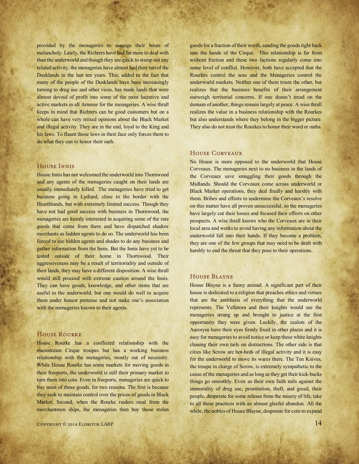provided by the menageries to assuage their bouts of melancholy. Lately, the Richters have had far more to deal with than the underworld and though they are quick to stamp out any related activity, the menageries have almost had their run of the Dusklands in the last ten years. This, added to the fact that many of the people of the Dusklands have been increasingly turning to drug use and other vices, has made lands that were almost devoid of profit into some of the most lucrative and active markets in all Arnesse for the menageries. A wise thrall keeps in mind that Richters can be good customers but on a whole can have very mixed opinions about the Black Market and illegal activity. They are in the end, loyal to the King and his laws. To flaunt those laws in their face only forces them to do what they can to honor their oath.

# **HOUSE INNIS**

House Innis has not welcomed the underworld into Thornwood and any agents of the menageries caught on their lands are usually immediately killed. The menageries have tried to get business going in Lydiard, close to the border with the Hearthlands, but with extremely limited success. Though they have not had good success with business in Thornwood, the menageries are keenly interested in acquiring some of the rare goods that come from there and have dispatched shadow merchants as hidden agents to do so. The underworld has been forced to use hidden agents and shades to do any business and gather information from the Innis. But the Innis have yet to be tested outside of their home in Thornwood. Their aggressiveness may be a result of territoriality and outside of their lands, they may have a different disposition. A wise thrall would still proceed with extreme caution around the Innis. They can have goods, knowledge, and other items that are useful to the underworld, but one would do well to acquire them under honest pretense and not make one's association with the menageries known to their agents.

# House Rourke

House Rourke has a conflicted relationship with the mainstream Cirque troupes but has a working business relationship with the menageries, mostly out of necessity. While House Rourke has some markets for moving goods in their freeports, the underworld is still their primary market to turn them into coin. Even in freeports, menageries are quick to buy most of those goods, for two reasons. The first is because they seek to maintain control over the prices of goods in Black Market. Second, when the Rourke raiders steal from the merchantmen ships, the menageries then buy those stolen goods for a fraction of their worth, sending the goods right back into the hands of the Cirque. This relationship is far from without friction and these two factions regularly come into some level of conflict. However, both have accepted that the Rourkes control the seas and the Menageries control the underworld markets. Neither one of them trusts the other, but realizes that the business benefits of their arrangement outweigh territorial concerns. If one doesn't tread on the domain of another, things remain largely at peace. A wise thrall realizes the value in a business relationship with the Rourkes but also understands where they belong in the bigger picture. They also do not trust the Rourkes to honor their word or oaths.

#### House Corveaux

No House is more opposed to the underworld that House Corveaux. The menageries next to no business in the lands of the Corveaux save smuggling their goods through the Midlands. Should the Corveaux come across underworld or Black Market operations, they deal finally and harshly with them. Bribes and efforts to undermine the Corveaux's resolve on this matter have all proven unsuccessful, so the menageries have largely cut their losses and focused their efforts on other prospects. A wise thrall knows who the Corveaux are in their local area and works to avoid having any information about the underworld fall into their hands. If they become a problem, they are one of the few groups that may need to be dealt with harshly to end the threat that they pose to their operations.

## House Blayne

House Blayne is a funny animal. A significant part of their house is dedicated to a religion that preaches ethics and virtues that are the antithesis of everything that the underworld represents. The Vellatora and their knights would see the menageries strung up and brought to justice at the first opportunity they were given. Luckily, the zealots of the Aurorym have their eyes firmly fixed in other places and it is easy for menageries to avoid notice or keep these white knights chasing their own tails on distractions. The other side is that cities like Scrow are hot-beds of illegal activity and it is easy for the underworld to move its wares there. The Ten Knives, the troupe in charge of Scrow, is extremely sympathetic to the cause of the menageries and as long as they get their kick-backs things go smoothly. Even as their own faith rails against the immorality of drug use, prostitution, theft, and greed, their people, desperate for some release from the misery of life, take to all those practices with an almost gleeful abandon. All the while, the nobles of House Blayne, desperate for coin to expand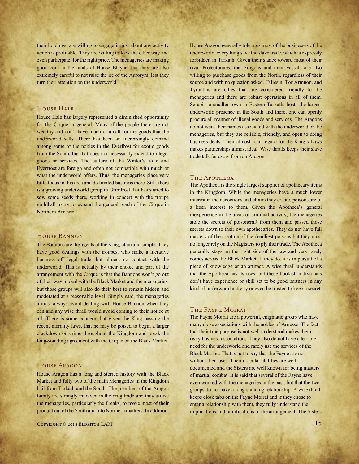their holdings, are willing to engage in just about any activity which is profitable. They are willing to look the other way and even participate, for the right price. The menageries are making good coin in the lands of House Blayne, but they are also extremely careful to not raise the ire of the Aurorym, lest they turn their attention on the underworld.

# HOUSE HALE

House Hale has largely represented a diminished opportunity for the Cirque in general. Many of the people there are not wealthy and don't have much of a call for the goods that the underworld sells. There has been an increasingly demand among some of the nobles in the Everfrost for exotic goods from the South, but that does not necessarily extend to illegal goods or services. The culture of the Winter's Vale and Everfrost are foreign and often not compatible with much of what the underworld offers. Thus, the menageries place very little focus in this area and do limited business there. Still, there is a growing underworld group in Grimfrost that has started to sow some seeds there, working in concert with the troupe guildhall to try to expand the general reach of the Cirque in Northern Arnesse.

#### House Bannon

The Bannons are the agents of the King, plain and simple. They have good dealings with the troupes, who make a lucrative business off legal trade, but almost no contact with the underworld. This is actually by their choice and part of the arrangement with the Cirque is that the Bannons won't go out of their way to deal with the Black Market and the menageries, but those groups will also do their best to remain hidden and moderated at a reasonable level. Simply said, the menageries almost always avoid dealing with House Bannon when they can and any wise thrall would avoid coming to their notice at all. There is some concern that given the King passing the recent morality laws, that he may be poised to begin a larger crackdown on crime throughout the Kingdom and break the long-standing agreement with the Cirque on the Black Market.

#### House Aragon

House Aragon has a long and storied history with the Black Market and fully two of the main Menageries in the Kingdom hail from Tarkath and the South. The members of the Aragon family are strongly involved in the drug trade and they utilize the menageries, particularly the Freaks, to move most of their product out of the South and into Northern markets. In addition, House Aragon generally tolerates most of the businesses of the underworld, everything save the slave trade, which is expressly forbidden in Tarkath. Given their stance toward most of their rival Protectorates, the Aragons and their vassals are also willing to purchase goods from the North, regardless of their source and with no question asked. Taliesin, Tor Armnon, and Tyranthis are cities that are considered friendly to the menageries and there are robust operations in all of them. Serapis, a smaller town in Eastern Tarkath, hosts the largest underworld presence in the South and there, one can openly procure all manner of illegal goods and services. The Aragons do not want their names associated with the underworld or the menageries, but they are reliable, friendly, and open to doing business deals. Their almost total regard for the King's Laws makes partnerships almost ideal. Wise thralls keeps their slave trade talk far away from an Aragon.

#### THE APOTHECA

The Apotheca is the single largest supplier of apothecary items in the Kingdom. While the menageries have a much lower interest in the decoctions and elixirs they create, poisons are of a keen interest to them. Given the Apotheca's general inexperience in the areas of criminal activity, the menageries stole the secrets of poisoncraft from them and passed those secrets down to their own apothecaries. They do not have full mastery of the creation of the deadliest poisons but they must no longer rely on the Magisters to ply their trade. The Apotheca generally stays on the right side of the law and very rarely comes across the Black Market. If they do, it is in pursuit of a piece of knowledge or an artifact. A wise thrall understands that the Apotheca has its uses, but these bookish individuals don't have experience or skill set to be good partners in any kind of underworld activity or even be trusted to keep a secret.

#### The Fayne Moirai

The Fayne Moirai are a powerful, enigmatic group who have many close associations with the nobles of Arnesse. The fact that their true purpose is not well understood makes them risky business associations. They also do not have a terrible need for the underworld and rarely use the services of the Black Market. That is not to say that the Fayne are not without their uses. Their oracular abilities are well documented and the Sisters are well known for being masters of martial combat. It is said that several of the Fayne have even worked with the menageries in the past, but that the two groups do not have a long-standing relationship. A wise thrall keeps close tabs on the Fayne Moirai and if they chose to enter a relationship with them, they fully understand the implications and ramifications of the arrangement. The Sisters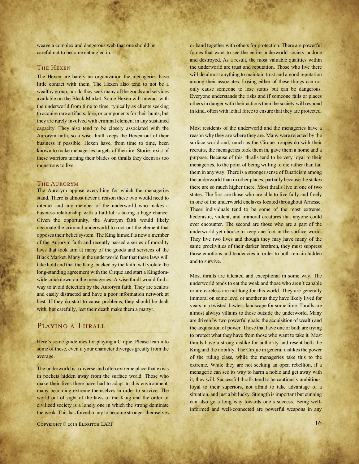weave a complex and dangerous web that one should be careful not to become entangled in.

# The Hexen

The Hexen are barely an organization the menageries have little contact with them. The Hexen also tend to not be a wealthy group, nor do they seek many of the goods and services available on the Black Market. Some Hexen will interact with the underworld from time to time, typically as clients seeking to acquire rare artifacts, lore, or components for their hunts, but they are rarely involved with criminal element in any sustained capacity. They also tend to be closely associated with the Aurorym faith, so a wise thrall keeps the Hexen out of their business if possible. Hexen have, from time to time, been known to make menageries targets of their ire. Stories exist of these warriors turning their blades on thralls they deem as too monstrous to live.

# The Aurorym

The Aurorym oppose everything for which the menageries stand. There is almost never a reason these two would need to interact and any member of the underworld who makes a business relationship with a faithful is taking a huge chance. Given the opportunity, the Aurorym faith would likely decimate the criminal underworld to root out the element that opposes their belief system. The King himself is now a member of the Aurorym faith and recently passed a series of morality laws that took aim at many of the goods and services of the Black Market. Many in the underworld fear that these laws will take hold and that the King, backed by the faith, will violate the long-standing agreement with the Cirque and start a Kingdomwide crackdown on the menageries. A wise thrall would find a way to avoid detection by the Aurorym faith. They are zealots and easily distracted and have a poor information network at best. If they do start to cause problems, they should be dealt with, but carefully, lest their death make them a martyr.

# Playing a Thrall

Here's some guidelines for playing a Cirque. Please lean into some of these, even if your character diverges greatly from the average.

The underworld is a diverse and often extreme place that exists in pockets hidden away from the surface world. Those who make their lives there have had to adapt to this environment, many becoming extreme themselves in order to survive. The world out of sight of the laws of the King and the order of civilized society is a lonely one in which the strong dominate the weak. This has forced many to become stronger themselves

Copyright © 2018 Eldritch LARP  $16$ 

or band together with others for protection. There are powerful forces that want to see the entire underworld society undone and destroyed. As a result, the most valuable qualities within the underworld are trust and reputation. Those who live there will do almost anything to maintain trust and a good reputation among their associates. Losing either of these things can not only cause someone to lose status but can be dangerous. Everyone understands the risks and if someone fails or places others in danger with their actions then the society will respond in kind, often with lethal force to ensure that they are protected.

Most residents of the underworld and the menageries have a reason why they are where they are. Many were rejected by the surface world and, much as the Cirque troupes do with their recruits, the menageries took them in, gave them a home and a purpose. Because of this, thralls tend to be very loyal to their menageries, to the point of being willing to die rather than fail them in any way. There is a stronger sense of fanaticism among the underworld than in other places, partially because the stakes there are so much higher there. Most thralls live in one of two states. The first are those who are able to live fully and freely in one of the underworld enclaves located throughout Arnesse. These individuals tend to be some of the most extreme, hedonistic, violent, and immoral creatures that anyone could ever encounter. The second are those who are a part of the underworld yet choose to keep one foot in the surface world. They live two lives and though they may have many of the same proclivities of their darker brethren, they must suppress those emotions and tendencies in order to both remain hidden and to survive.

Most thralls are talented and exceptional in some way. The underworld tends to eat the weak and those who aren't capable or are careless are not long for this world. They are generally immoral on some level or another as they have likely lived for years in a twisted, lawless landscape for some time. Thralls are almost always villains to those outside the underworld. Many are driven by two powerful goals: the acquisition of wealth and the acquisition of power. Those that have one or both are trying to protect what they have from those who want to take it. Most thralls have a strong dislike for authority and resent both the King and the nobility. The Cirque in general dislikes the power of the ruling class, while the menageries take this to the extreme. While they are not seeking an open rebellion, if a menagerie can see its way to harm a noble and get away with it, they will. Successful thralls tend to be cautiously ambitious, loyal to their superiors, not afraid to take advantage of a situation, and just a bit lucky. Strength is important but cunning can also go a long way towards one's success. Being wellinformed and well-connected are powerful weapons in any